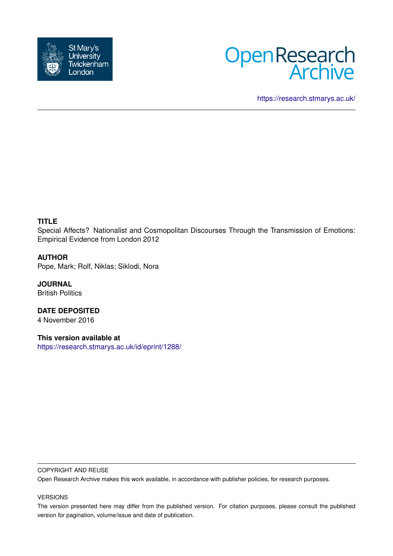



<https://research.stmarys.ac.uk/>

## **TITLE**

Special Affects? Nationalist and Cosmopolitan Discourses Through the Transmission of Emotions: Empirical Evidence from London 2012

## **AUTHOR**

Pope, Mark; Rolf, Niklas; Siklodi, Nora

**JOURNAL** British Politics

**DATE DEPOSITED** 4 November 2016

**This version available at** <https://research.stmarys.ac.uk/id/eprint/1288/>

#### COPYRIGHT AND REUSE

Open Research Archive makes this work available, in accordance with publisher policies, for research purposes.

#### VERSIONS

The version presented here may differ from the published version. For citation purposes, please consult the published version for pagination, volume/issue and date of publication.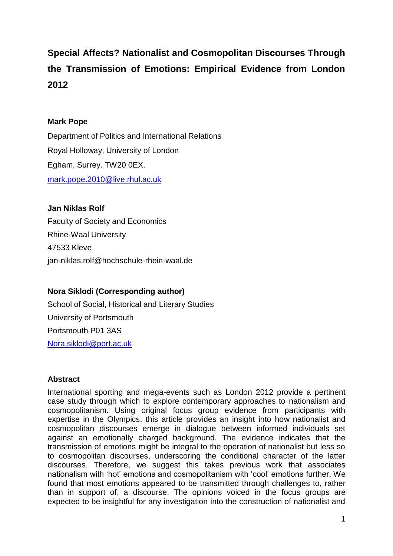# **Special Affects? Nationalist and Cosmopolitan Discourses Through the Transmission of Emotions: Empirical Evidence from London 2012**

# **Mark Pope**

Department of Politics and International Relations Royal Holloway, University of London Egham, Surrey. TW20 0EX. [mark.pope.2010@live.rhul.ac.uk](mailto:mark.pope.2010@live.rhul.ac.uk)

## **Jan Niklas Rolf**

Faculty of Society and Economics Rhine-Waal University 47533 Kleve jan-niklas.rolf@hochschule-rhein-waal.de

# **Nora Siklodi (Corresponding author)**

School of Social, Historical and Literary Studies University of Portsmouth Portsmouth P01 3AS [Nora.siklodi@port.ac.uk](mailto:Nora.siklodi@port.ac.uk)

# **Abstract**

International sporting and mega-events such as London 2012 provide a pertinent case study through which to explore contemporary approaches to nationalism and cosmopolitanism. Using original focus group evidence from participants with expertise in the Olympics, this article provides an insight into how nationalist and cosmopolitan discourses emerge in dialogue between informed individuals set against an emotionally charged background. The evidence indicates that the transmission of emotions might be integral to the operation of nationalist but less so to cosmopolitan discourses, underscoring the conditional character of the latter discourses. Therefore, we suggest this takes previous work that associates nationalism with 'hot' emotions and cosmopolitanism with 'cool' emotions further. We found that most emotions appeared to be transmitted through challenges to, rather than in support of, a discourse. The opinions voiced in the focus groups are expected to be insightful for any investigation into the construction of nationalist and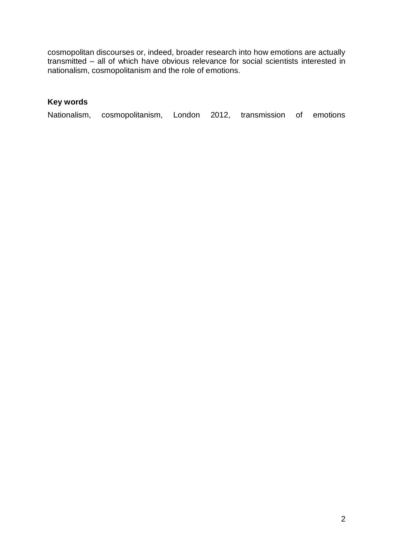cosmopolitan discourses or, indeed, broader research into how emotions are actually transmitted – all of which have obvious relevance for social scientists interested in nationalism, cosmopolitanism and the role of emotions.

# **Key words**

| Nationalism, cosmopolitanism, London 2012, transmission of emotions |  |  |  |
|---------------------------------------------------------------------|--|--|--|
|                                                                     |  |  |  |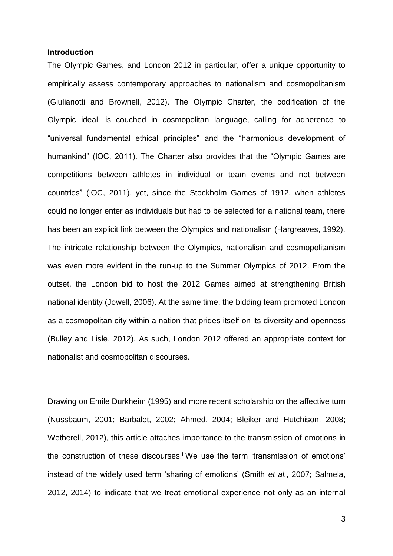#### **Introduction**

The Olympic Games, and London 2012 in particular, offer a unique opportunity to empirically assess contemporary approaches to nationalism and cosmopolitanism (Giulianotti and Brownell, 2012). The Olympic Charter, the codification of the Olympic ideal, is couched in cosmopolitan language, calling for adherence to "universal fundamental ethical principles" and the "harmonious development of humankind" (IOC, 2011). The Charter also provides that the "Olympic Games are competitions between athletes in individual or team events and not between countries" (IOC, 2011), yet, since the Stockholm Games of 1912, when athletes could no longer enter as individuals but had to be selected for a national team, there has been an explicit link between the Olympics and nationalism (Hargreaves, 1992). The intricate relationship between the Olympics, nationalism and cosmopolitanism was even more evident in the run-up to the Summer Olympics of 2012. From the outset, the London bid to host the 2012 Games aimed at strengthening British national identity (Jowell, 2006). At the same time, the bidding team promoted London as a cosmopolitan city within a nation that prides itself on its diversity and openness (Bulley and Lisle, 2012). As such, London 2012 offered an appropriate context for nationalist and cosmopolitan discourses.

Drawing on Emile Durkheim (1995) and more recent scholarship on the affective turn (Nussbaum, 2001; Barbalet, 2002; Ahmed, 2004; Bleiker and Hutchison, 2008; Wetherell, 2012), this article attaches importance to the transmission of emotions in the construction of these discourses. <sup>i</sup> We use the term 'transmission of emotions' instead of the widely used term 'sharing of emotions' (Smith *et al.*, 2007; Salmela, 2012, 2014) to indicate that we treat emotional experience not only as an internal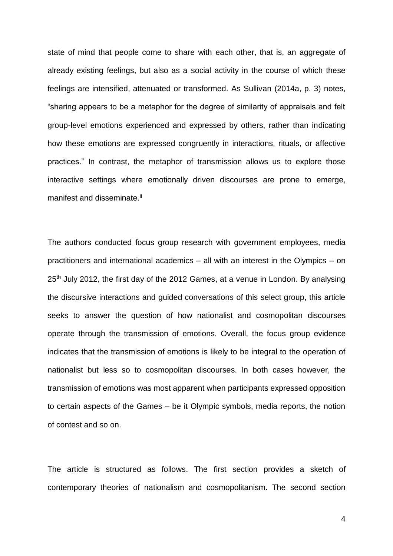state of mind that people come to share with each other, that is, an aggregate of already existing feelings, but also as a social activity in the course of which these feelings are intensified, attenuated or transformed. As Sullivan (2014a, p. 3) notes, "sharing appears to be a metaphor for the degree of similarity of appraisals and felt group-level emotions experienced and expressed by others, rather than indicating how these emotions are expressed congruently in interactions, rituals, or affective practices." In contrast, the metaphor of transmission allows us to explore those interactive settings where emotionally driven discourses are prone to emerge, manifest and disseminate.<sup>ii</sup>

The authors conducted focus group research with government employees, media practitioners and international academics – all with an interest in the Olympics – on 25<sup>th</sup> July 2012, the first day of the 2012 Games, at a venue in London. By analysing the discursive interactions and guided conversations of this select group, this article seeks to answer the question of how nationalist and cosmopolitan discourses operate through the transmission of emotions. Overall, the focus group evidence indicates that the transmission of emotions is likely to be integral to the operation of nationalist but less so to cosmopolitan discourses. In both cases however, the transmission of emotions was most apparent when participants expressed opposition to certain aspects of the Games – be it Olympic symbols, media reports, the notion of contest and so on.

The article is structured as follows. The first section provides a sketch of contemporary theories of nationalism and cosmopolitanism. The second section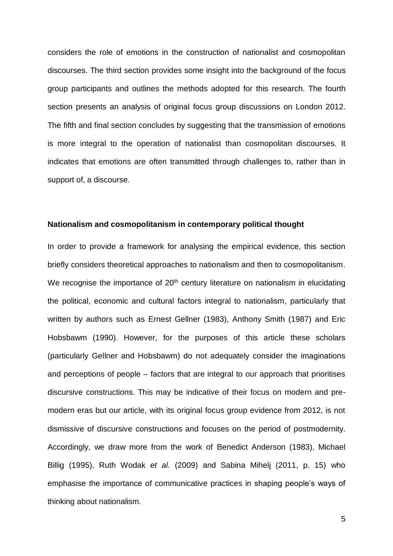considers the role of emotions in the construction of nationalist and cosmopolitan discourses. The third section provides some insight into the background of the focus group participants and outlines the methods adopted for this research. The fourth section presents an analysis of original focus group discussions on London 2012. The fifth and final section concludes by suggesting that the transmission of emotions is more integral to the operation of nationalist than cosmopolitan discourses. It indicates that emotions are often transmitted through challenges to, rather than in support of, a discourse.

#### **Nationalism and cosmopolitanism in contemporary political thought**

In order to provide a framework for analysing the empirical evidence, this section briefly considers theoretical approaches to nationalism and then to cosmopolitanism. We recognise the importance of  $20<sup>th</sup>$  century literature on nationalism in elucidating the political, economic and cultural factors integral to nationalism, particularly that written by authors such as Ernest Gellner (1983), Anthony Smith (1987) and Eric Hobsbawm (1990). However, for the purposes of this article these scholars (particularly Gellner and Hobsbawm) do not adequately consider the imaginations and perceptions of people – factors that are integral to our approach that prioritises discursive constructions. This may be indicative of their focus on modern and premodern eras but our article, with its original focus group evidence from 2012, is not dismissive of discursive constructions and focuses on the period of postmodernity. Accordingly, we draw more from the work of Benedict Anderson (1983), Michael Billig (1995), Ruth Wodak *et al.* (2009) and Sabina Mihelj (2011, p. 15) who emphasise the importance of communicative practices in shaping people's ways of thinking about nationalism.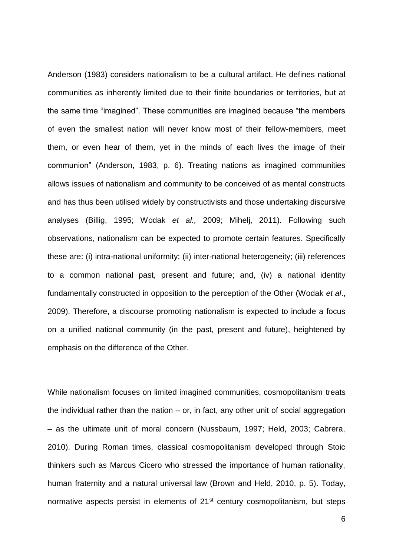Anderson (1983) considers nationalism to be a cultural artifact. He defines national communities as inherently limited due to their finite boundaries or territories, but at the same time "imagined". These communities are imagined because "the members of even the smallest nation will never know most of their fellow-members, meet them, or even hear of them, yet in the minds of each lives the image of their communion" (Anderson, 1983, p. 6). Treating nations as imagined communities allows issues of nationalism and community to be conceived of as mental constructs and has thus been utilised widely by constructivists and those undertaking discursive analyses (Billig, 1995; Wodak *et al.,* 2009; Mihelj, 2011). Following such observations, nationalism can be expected to promote certain features. Specifically these are: (i) intra-national uniformity; (ii) inter-national heterogeneity; (iii) references to a common national past, present and future; and, (iv) a national identity fundamentally constructed in opposition to the perception of the Other (Wodak *et al*., 2009). Therefore, a discourse promoting nationalism is expected to include a focus on a unified national community (in the past, present and future), heightened by emphasis on the difference of the Other.

While nationalism focuses on limited imagined communities, cosmopolitanism treats the individual rather than the nation – or, in fact, any other unit of social aggregation – as the ultimate unit of moral concern (Nussbaum, 1997; Held, 2003; Cabrera, 2010). During Roman times, classical cosmopolitanism developed through Stoic thinkers such as Marcus Cicero who stressed the importance of human rationality, human fraternity and a natural universal law (Brown and Held, 2010, p. 5). Today, normative aspects persist in elements of 21<sup>st</sup> century cosmopolitanism, but steps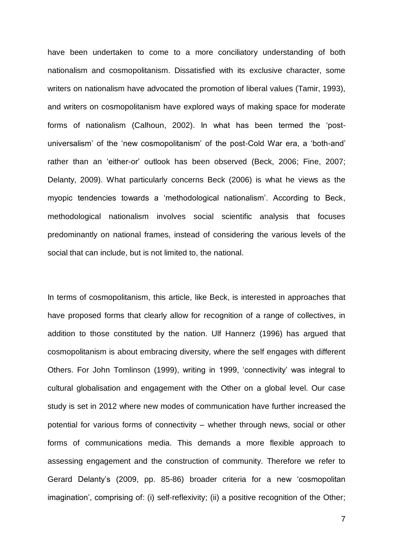have been undertaken to come to a more conciliatory understanding of both nationalism and cosmopolitanism. Dissatisfied with its exclusive character, some writers on nationalism have advocated the promotion of liberal values (Tamir, 1993), and writers on cosmopolitanism have explored ways of making space for moderate forms of nationalism (Calhoun, 2002). In what has been termed the 'postuniversalism' of the 'new cosmopolitanism' of the post-Cold War era, a 'both-and' rather than an 'either-or' outlook has been observed (Beck, 2006; Fine, 2007; Delanty, 2009). What particularly concerns Beck (2006) is what he views as the myopic tendencies towards a 'methodological nationalism'. According to Beck, methodological nationalism involves social scientific analysis that focuses predominantly on national frames, instead of considering the various levels of the social that can include, but is not limited to, the national.

In terms of cosmopolitanism, this article, like Beck, is interested in approaches that have proposed forms that clearly allow for recognition of a range of collectives, in addition to those constituted by the nation. Ulf Hannerz (1996) has argued that cosmopolitanism is about embracing diversity, where the self engages with different Others. For John Tomlinson (1999), writing in 1999, 'connectivity' was integral to cultural globalisation and engagement with the Other on a global level. Our case study is set in 2012 where new modes of communication have further increased the potential for various forms of connectivity – whether through news, social or other forms of communications media. This demands a more flexible approach to assessing engagement and the construction of community. Therefore we refer to Gerard Delanty's (2009, pp. 85-86) broader criteria for a new 'cosmopolitan imagination', comprising of: (i) self-reflexivity; (ii) a positive recognition of the Other;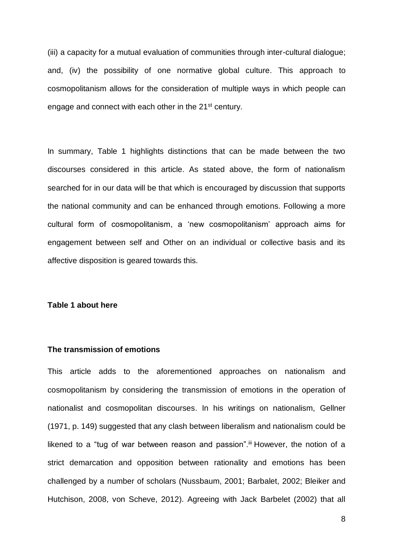(iii) a capacity for a mutual evaluation of communities through inter-cultural dialogue; and, (iv) the possibility of one normative global culture. This approach to cosmopolitanism allows for the consideration of multiple ways in which people can engage and connect with each other in the 21<sup>st</sup> century.

In summary, Table 1 highlights distinctions that can be made between the two discourses considered in this article. As stated above, the form of nationalism searched for in our data will be that which is encouraged by discussion that supports the national community and can be enhanced through emotions. Following a more cultural form of cosmopolitanism, a 'new cosmopolitanism' approach aims for engagement between self and Other on an individual or collective basis and its affective disposition is geared towards this.

#### **Table 1 about here**

### **The transmission of emotions**

This article adds to the aforementioned approaches on nationalism and cosmopolitanism by considering the transmission of emotions in the operation of nationalist and cosmopolitan discourses. In his writings on nationalism, Gellner (1971, p. 149) suggested that any clash between liberalism and nationalism could be likened to a "tug of war between reason and passion".iii However, the notion of a strict demarcation and opposition between rationality and emotions has been challenged by a number of scholars (Nussbaum, 2001; Barbalet, 2002; Bleiker and Hutchison, 2008, von Scheve, 2012). Agreeing with Jack Barbelet (2002) that all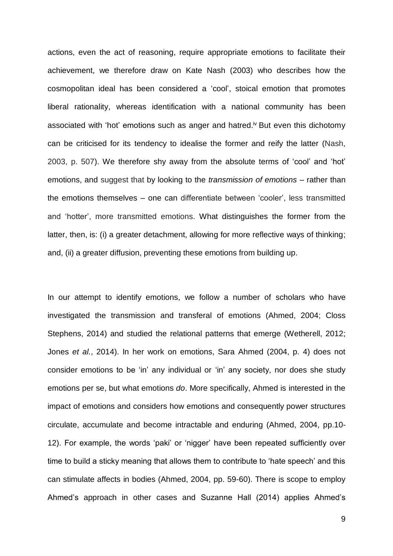actions, even the act of reasoning, require appropriate emotions to facilitate their achievement, we therefore draw on Kate Nash (2003) who describes how the cosmopolitan ideal has been considered a 'cool', stoical emotion that promotes liberal rationality, whereas identification with a national community has been associated with 'hot' emotions such as anger and hatred.<sup>iv</sup> But even this dichotomy can be criticised for its tendency to idealise the former and reify the latter (Nash, 2003, p. 507). We therefore shy away from the absolute terms of 'cool' and 'hot' emotions, and suggest that by looking to the *transmission of emotions* – rather than the emotions themselves – one can differentiate between 'cooler', less transmitted and 'hotter', more transmitted emotions. What distinguishes the former from the latter, then, is: (i) a greater detachment, allowing for more reflective ways of thinking; and, (ii) a greater diffusion, preventing these emotions from building up.

In our attempt to identify emotions, we follow a number of scholars who have investigated the transmission and transferal of emotions (Ahmed, 2004; Closs Stephens, 2014) and studied the relational patterns that emerge (Wetherell, 2012; Jones *et al.*, 2014). In her work on emotions, Sara Ahmed (2004, p. 4) does not consider emotions to be 'in' any individual or 'in' any society, nor does she study emotions per se, but what emotions *do*. More specifically, Ahmed is interested in the impact of emotions and considers how emotions and consequently power structures circulate, accumulate and become intractable and enduring (Ahmed, 2004, pp.10- 12). For example, the words 'paki' or 'nigger' have been repeated sufficiently over time to build a sticky meaning that allows them to contribute to 'hate speech' and this can stimulate affects in bodies (Ahmed, 2004, pp. 59-60). There is scope to employ Ahmed's approach in other cases and Suzanne Hall (2014) applies Ahmed's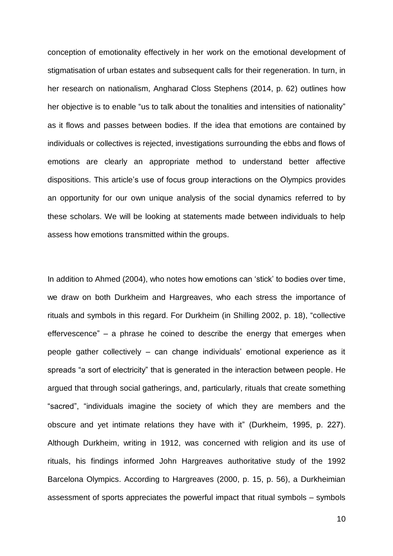conception of emotionality effectively in her work on the emotional development of stigmatisation of urban estates and subsequent calls for their regeneration. In turn, in her research on nationalism, Angharad Closs Stephens (2014, p. 62) outlines how her objective is to enable "us to talk about the tonalities and intensities of nationality" as it flows and passes between bodies. If the idea that emotions are contained by individuals or collectives is rejected, investigations surrounding the ebbs and flows of emotions are clearly an appropriate method to understand better affective dispositions. This article's use of focus group interactions on the Olympics provides an opportunity for our own unique analysis of the social dynamics referred to by these scholars. We will be looking at statements made between individuals to help assess how emotions transmitted within the groups.

In addition to Ahmed (2004), who notes how emotions can 'stick' to bodies over time, we draw on both Durkheim and Hargreaves, who each stress the importance of rituals and symbols in this regard. For Durkheim (in Shilling 2002, p. 18), "collective effervescence" – a phrase he coined to describe the energy that emerges when people gather collectively – can change individuals' emotional experience as it spreads "a sort of electricity" that is generated in the interaction between people. He argued that through social gatherings, and, particularly, rituals that create something "sacred", "individuals imagine the society of which they are members and the obscure and yet intimate relations they have with it" (Durkheim, 1995, p. 227). Although Durkheim, writing in 1912, was concerned with religion and its use of rituals, his findings informed John Hargreaves authoritative study of the 1992 Barcelona Olympics. According to Hargreaves (2000, p. 15, p. 56), a Durkheimian assessment of sports appreciates the powerful impact that ritual symbols – symbols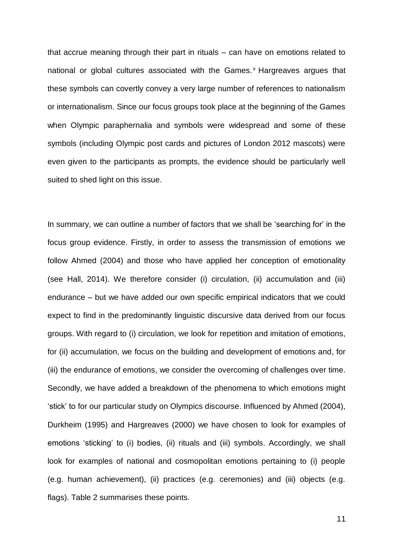that accrue meaning through their part in rituals – can have on emotions related to national or global cultures associated with the Games.<sup>v</sup> Hargreaves argues that these symbols can covertly convey a very large number of references to nationalism or internationalism. Since our focus groups took place at the beginning of the Games when Olympic paraphernalia and symbols were widespread and some of these symbols (including Olympic post cards and pictures of London 2012 mascots) were even given to the participants as prompts, the evidence should be particularly well suited to shed light on this issue.

In summary, we can outline a number of factors that we shall be 'searching for' in the focus group evidence. Firstly, in order to assess the transmission of emotions we follow Ahmed (2004) and those who have applied her conception of emotionality (see Hall, 2014). We therefore consider (i) circulation, (ii) accumulation and (iii) endurance – but we have added our own specific empirical indicators that we could expect to find in the predominantly linguistic discursive data derived from our focus groups. With regard to (i) circulation, we look for repetition and imitation of emotions, for (ii) accumulation, we focus on the building and development of emotions and, for (iii) the endurance of emotions, we consider the overcoming of challenges over time. Secondly, we have added a breakdown of the phenomena to which emotions might 'stick' to for our particular study on Olympics discourse. Influenced by Ahmed (2004), Durkheim (1995) and Hargreaves (2000) we have chosen to look for examples of emotions 'sticking' to (i) bodies, (ii) rituals and (iii) symbols. Accordingly, we shall look for examples of national and cosmopolitan emotions pertaining to (i) people (e.g. human achievement), (ii) practices (e.g. ceremonies) and (iii) objects (e.g. flags). Table 2 summarises these points.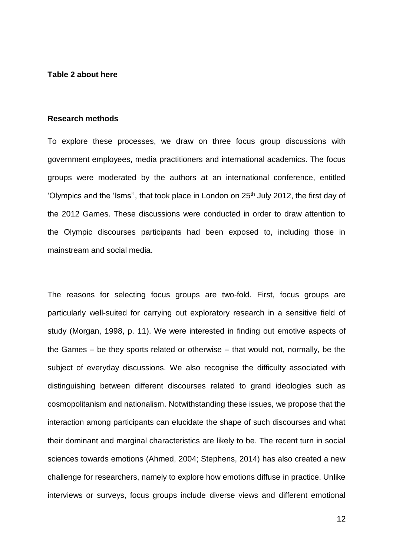#### **Table 2 about here**

#### **Research methods**

To explore these processes, we draw on three focus group discussions with government employees, media practitioners and international academics. The focus groups were moderated by the authors at an international conference, entitled 'Olympics and the 'Isms", that took place in London on 25<sup>th</sup> July 2012, the first day of the 2012 Games. These discussions were conducted in order to draw attention to the Olympic discourses participants had been exposed to, including those in mainstream and social media.

The reasons for selecting focus groups are two-fold. First, focus groups are particularly well-suited for carrying out exploratory research in a sensitive field of study (Morgan, 1998, p. 11). We were interested in finding out emotive aspects of the Games – be they sports related or otherwise – that would not, normally, be the subject of everyday discussions. We also recognise the difficulty associated with distinguishing between different discourses related to grand ideologies such as cosmopolitanism and nationalism. Notwithstanding these issues, we propose that the interaction among participants can elucidate the shape of such discourses and what their dominant and marginal characteristics are likely to be. The recent turn in social sciences towards emotions (Ahmed, 2004; Stephens, 2014) has also created a new challenge for researchers, namely to explore how emotions diffuse in practice. Unlike interviews or surveys, focus groups include diverse views and different emotional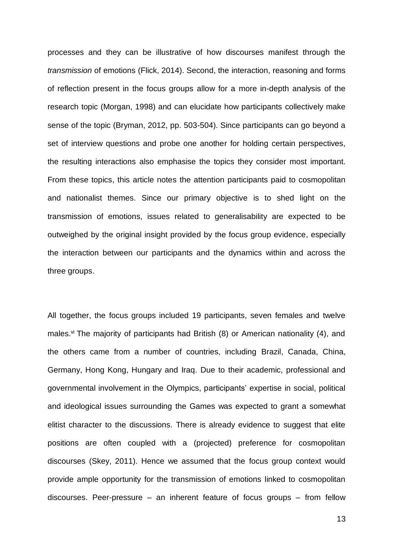processes and they can be illustrative of how discourses manifest through the *transmission* of emotions (Flick, 2014). Second, the interaction, reasoning and forms of reflection present in the focus groups allow for a more in-depth analysis of the research topic (Morgan, 1998) and can elucidate how participants collectively make sense of the topic (Bryman, 2012, pp. 503-504). Since participants can go beyond a set of interview questions and probe one another for holding certain perspectives, the resulting interactions also emphasise the topics they consider most important. From these topics, this article notes the attention participants paid to cosmopolitan and nationalist themes. Since our primary objective is to shed light on the transmission of emotions, issues related to generalisability are expected to be outweighed by the original insight provided by the focus group evidence, especially the interaction between our participants and the dynamics within and across the three groups.

All together, the focus groups included 19 participants, seven females and twelve males.<sup>vi</sup> The majority of participants had British  $(8)$  or American nationality  $(4)$ , and the others came from a number of countries, including Brazil, Canada, China, Germany, Hong Kong, Hungary and Iraq. Due to their academic, professional and governmental involvement in the Olympics, participants' expertise in social, political and ideological issues surrounding the Games was expected to grant a somewhat elitist character to the discussions. There is already evidence to suggest that elite positions are often coupled with a (projected) preference for cosmopolitan discourses (Skey, 2011). Hence we assumed that the focus group context would provide ample opportunity for the transmission of emotions linked to cosmopolitan discourses. Peer-pressure – an inherent feature of focus groups – from fellow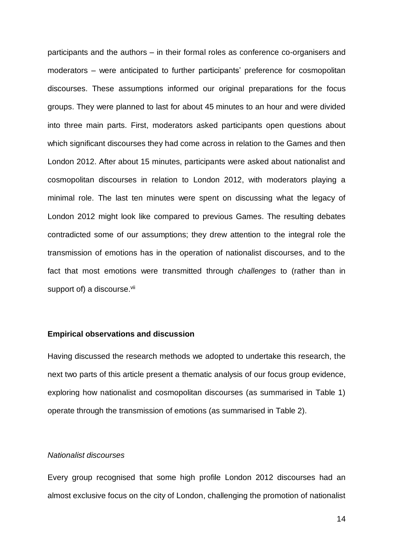participants and the authors – in their formal roles as conference co-organisers and moderators – were anticipated to further participants' preference for cosmopolitan discourses. These assumptions informed our original preparations for the focus groups. They were planned to last for about 45 minutes to an hour and were divided into three main parts. First, moderators asked participants open questions about which significant discourses they had come across in relation to the Games and then London 2012. After about 15 minutes, participants were asked about nationalist and cosmopolitan discourses in relation to London 2012, with moderators playing a minimal role. The last ten minutes were spent on discussing what the legacy of London 2012 might look like compared to previous Games. The resulting debates contradicted some of our assumptions; they drew attention to the integral role the transmission of emotions has in the operation of nationalist discourses, and to the fact that most emotions were transmitted through *challenges* to (rather than in support of) a discourse.<sup>vii</sup>

#### **Empirical observations and discussion**

Having discussed the research methods we adopted to undertake this research, the next two parts of this article present a thematic analysis of our focus group evidence, exploring how nationalist and cosmopolitan discourses (as summarised in Table 1) operate through the transmission of emotions (as summarised in Table 2).

## *Nationalist discourses*

Every group recognised that some high profile London 2012 discourses had an almost exclusive focus on the city of London, challenging the promotion of nationalist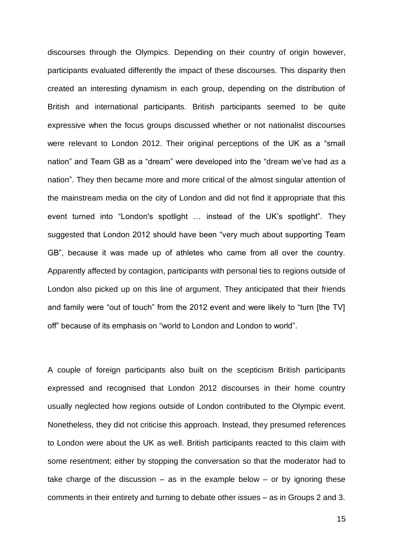discourses through the Olympics. Depending on their country of origin however, participants evaluated differently the impact of these discourses. This disparity then created an interesting dynamism in each group, depending on the distribution of British and international participants. British participants seemed to be quite expressive when the focus groups discussed whether or not nationalist discourses were relevant to London 2012. Their original perceptions of the UK as a "small nation" and Team GB as a "dream" were developed into the "dream we've had *as* a nation". They then became more and more critical of the almost singular attention of the mainstream media on the city of London and did not find it appropriate that this event turned into "London's spotlight … instead of the UK's spotlight". They suggested that London 2012 should have been "very much about supporting Team GB", because it was made up of athletes who came from all over the country. Apparently affected by contagion, participants with personal ties to regions outside of London also picked up on this line of argument. They anticipated that their friends and family were "out of touch" from the 2012 event and were likely to "turn [the TV] off" because of its emphasis on "world to London and London to world".

A couple of foreign participants also built on the scepticism British participants expressed and recognised that London 2012 discourses in their home country usually neglected how regions outside of London contributed to the Olympic event. Nonetheless, they did not criticise this approach. Instead, they presumed references to London were about the UK as well. British participants reacted to this claim with some resentment; either by stopping the conversation so that the moderator had to take charge of the discussion  $-$  as in the example below  $-$  or by ignoring these comments in their entirety and turning to debate other issues – as in Groups 2 and 3.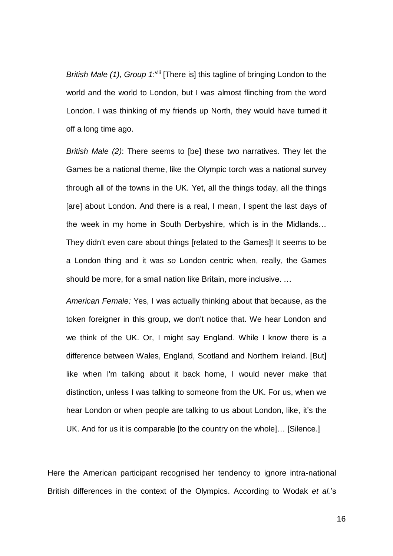*British Male (1), Group 1*:<sup>viii</sup> [There is] this tagline of bringing London to the world and the world to London, but I was almost flinching from the word London. I was thinking of my friends up North, they would have turned it off a long time ago.

*British Male (2)*: There seems to [be] these two narratives. They let the Games be a national theme, like the Olympic torch was a national survey through all of the towns in the UK. Yet, all the things today, all the things [are] about London. And there is a real, I mean, I spent the last days of the week in my home in South Derbyshire, which is in the Midlands… They didn't even care about things [related to the Games]! It seems to be a London thing and it was *so* London centric when, really, the Games should be more, for a small nation like Britain, more inclusive. …

*American Female:* Yes, I was actually thinking about that because, as the token foreigner in this group, we don't notice that. We hear London and we think of the UK. Or, I might say England. While I know there is a difference between Wales, England, Scotland and Northern Ireland. [But] like when I'm talking about it back home, I would never make that distinction, unless I was talking to someone from the UK. For us, when we hear London or when people are talking to us about London, like, it's the UK. And for us it is comparable [to the country on the whole]… [Silence.]

Here the American participant recognised her tendency to ignore intra-national British differences in the context of the Olympics. According to Wodak *et al.*'s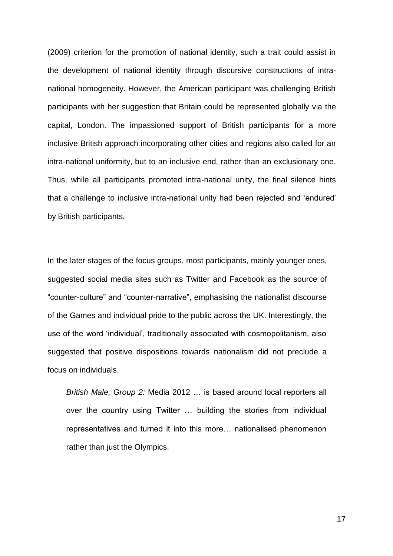(2009) criterion for the promotion of national identity, such a trait could assist in the development of national identity through discursive constructions of intranational homogeneity. However, the American participant was challenging British participants with her suggestion that Britain could be represented globally via the capital, London. The impassioned support of British participants for a more inclusive British approach incorporating other cities and regions also called for an intra-national uniformity, but to an inclusive end, rather than an exclusionary one. Thus, while all participants promoted intra-national unity, the final silence hints that a challenge to inclusive intra-national unity had been rejected and 'endured' by British participants.

In the later stages of the focus groups, most participants, mainly younger ones, suggested social media sites such as Twitter and Facebook as the source of "counter-culture" and "counter-narrative", emphasising the nationalist discourse of the Games and individual pride to the public across the UK. Interestingly, the use of the word 'individual', traditionally associated with cosmopolitanism, also suggested that positive dispositions towards nationalism did not preclude a focus on individuals.

*British Male, Group 2:* Media 2012 … is based around local reporters all over the country using Twitter … building the stories from individual representatives and turned it into this more… nationalised phenomenon rather than just the Olympics.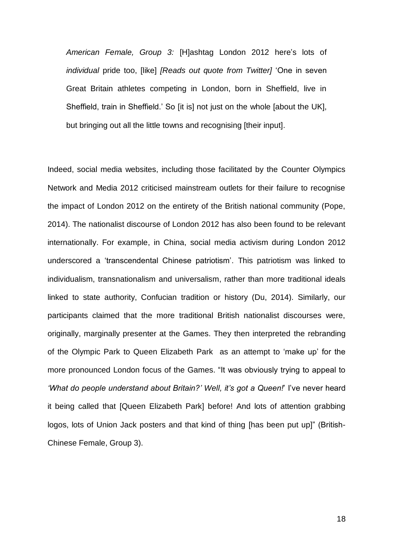*American Female, Group 3:* [H]ashtag London 2012 here's lots of *individual* pride too, [like] *[Reads out quote from Twitter]* 'One in seven Great Britain athletes competing in London, born in Sheffield, live in Sheffield, train in Sheffield.' So [it is] not just on the whole [about the UK], but bringing out all the little towns and recognising [their input].

Indeed, social media websites, including those facilitated by the Counter Olympics Network and Media 2012 criticised mainstream outlets for their failure to recognise the impact of London 2012 on the entirety of the British national community (Pope, 2014). The nationalist discourse of London 2012 has also been found to be relevant internationally. For example, in China, social media activism during London 2012 underscored a 'transcendental Chinese patriotism'. This patriotism was linked to individualism, transnationalism and universalism, rather than more traditional ideals linked to state authority, Confucian tradition or history (Du, 2014). Similarly, our participants claimed that the more traditional British nationalist discourses were, originally, marginally presenter at the Games. They then interpreted the rebranding of the Olympic Park to Queen Elizabeth Park as an attempt to 'make up' for the more pronounced London focus of the Games. "It was obviously trying to appeal to *'What do people understand about Britain?' Well, it's got a Queen!*' I've never heard it being called that [Queen Elizabeth Park] before! And lots of attention grabbing logos, lots of Union Jack posters and that kind of thing [has been put up]" (British-Chinese Female, Group 3).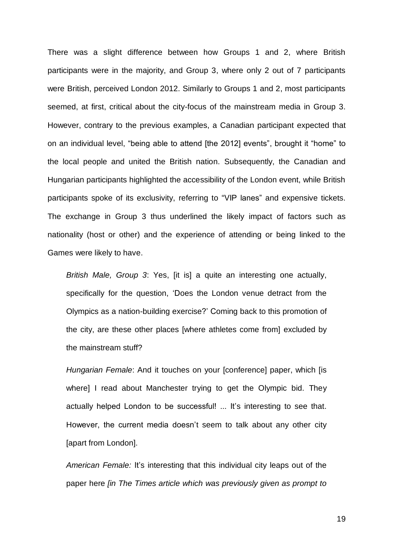There was a slight difference between how Groups 1 and 2, where British participants were in the majority, and Group 3, where only 2 out of 7 participants were British, perceived London 2012. Similarly to Groups 1 and 2, most participants seemed, at first, critical about the city-focus of the mainstream media in Group 3. However, contrary to the previous examples, a Canadian participant expected that on an individual level, "being able to attend [the 2012] events", brought it "home" to the local people and united the British nation. Subsequently, the Canadian and Hungarian participants highlighted the accessibility of the London event, while British participants spoke of its exclusivity, referring to "VIP lanes" and expensive tickets. The exchange in Group 3 thus underlined the likely impact of factors such as nationality (host or other) and the experience of attending or being linked to the Games were likely to have.

*British Male, Group 3*: Yes, [it is] a quite an interesting one actually, specifically for the question, 'Does the London venue detract from the Olympics as a nation-building exercise?' Coming back to this promotion of the city, are these other places [where athletes come from] excluded by the mainstream stuff?

*Hungarian Female*: And it touches on your [conference] paper, which [is where] I read about Manchester trying to get the Olympic bid. They actually helped London to be successful! ... It's interesting to see that. However, the current media doesn't seem to talk about any other city [apart from London].

*American Female:* It's interesting that this individual city leaps out of the paper here *[in The Times article which was previously given as prompt to*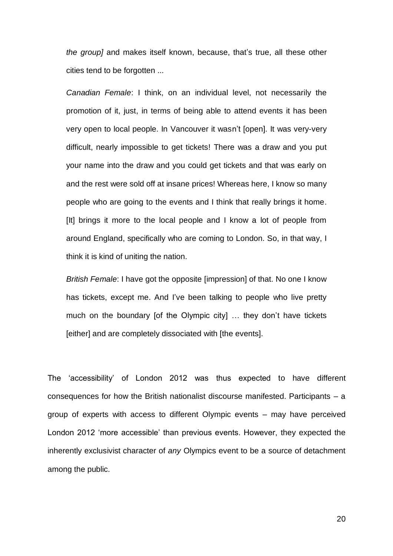*the group]* and makes itself known, because, that's true, all these other cities tend to be forgotten ...

*Canadian Female*: I think, on an individual level, not necessarily the promotion of it, just, in terms of being able to attend events it has been very open to local people. In Vancouver it wasn't [open]. It was very-very difficult, nearly impossible to get tickets! There was a draw and you put your name into the draw and you could get tickets and that was early on and the rest were sold off at insane prices! Whereas here, I know so many people who are going to the events and I think that really brings it home. [It] brings it more to the local people and I know a lot of people from around England, specifically who are coming to London. So, in that way, I think it is kind of uniting the nation.

*British Female*: I have got the opposite [impression] of that. No one I know has tickets, except me. And I've been talking to people who live pretty much on the boundary [of the Olympic city] … they don't have tickets [either] and are completely dissociated with [the events].

The 'accessibility' of London 2012 was thus expected to have different consequences for how the British nationalist discourse manifested. Participants – a group of experts with access to different Olympic events – may have perceived London 2012 'more accessible' than previous events. However, they expected the inherently exclusivist character of *any* Olympics event to be a source of detachment among the public.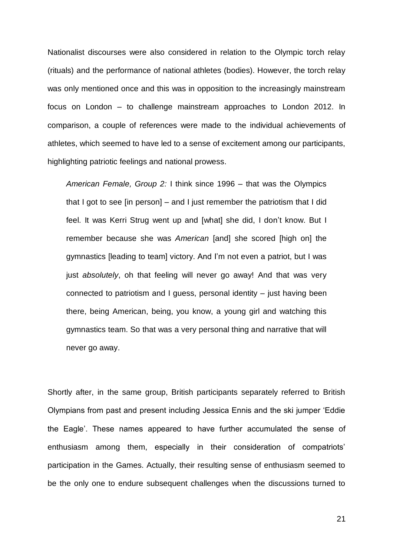Nationalist discourses were also considered in relation to the Olympic torch relay (rituals) and the performance of national athletes (bodies). However, the torch relay was only mentioned once and this was in opposition to the increasingly mainstream focus on London – to challenge mainstream approaches to London 2012. In comparison, a couple of references were made to the individual achievements of athletes, which seemed to have led to a sense of excitement among our participants, highlighting patriotic feelings and national prowess.

*American Female, Group 2:* I think since 1996 – that was the Olympics that I got to see [in person] – and I just remember the patriotism that I did feel. It was Kerri Strug went up and [what] she did, I don't know. But I remember because she was *American* [and] she scored [high on] the gymnastics [leading to team] victory. And I'm not even a patriot, but I was just *absolutely*, oh that feeling will never go away! And that was very connected to patriotism and I guess, personal identity – just having been there, being American, being, you know, a young girl and watching this gymnastics team. So that was a very personal thing and narrative that will never go away.

Shortly after, in the same group, British participants separately referred to British Olympians from past and present including Jessica Ennis and the ski jumper 'Eddie the Eagle'. These names appeared to have further accumulated the sense of enthusiasm among them, especially in their consideration of compatriots' participation in the Games. Actually, their resulting sense of enthusiasm seemed to be the only one to endure subsequent challenges when the discussions turned to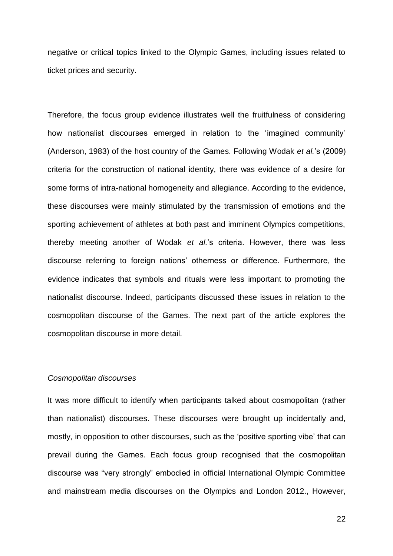negative or critical topics linked to the Olympic Games, including issues related to ticket prices and security.

Therefore, the focus group evidence illustrates well the fruitfulness of considering how nationalist discourses emerged in relation to the 'imagined community' (Anderson, 1983) of the host country of the Games. Following Wodak *et al.*'s (2009) criteria for the construction of national identity, there was evidence of a desire for some forms of intra-national homogeneity and allegiance. According to the evidence, these discourses were mainly stimulated by the transmission of emotions and the sporting achievement of athletes at both past and imminent Olympics competitions, thereby meeting another of Wodak *et al.*'s criteria. However, there was less discourse referring to foreign nations' otherness or difference. Furthermore, the evidence indicates that symbols and rituals were less important to promoting the nationalist discourse. Indeed, participants discussed these issues in relation to the cosmopolitan discourse of the Games. The next part of the article explores the cosmopolitan discourse in more detail.

#### *Cosmopolitan discourses*

It was more difficult to identify when participants talked about cosmopolitan (rather than nationalist) discourses. These discourses were brought up incidentally and, mostly, in opposition to other discourses, such as the 'positive sporting vibe' that can prevail during the Games. Each focus group recognised that the cosmopolitan discourse was "very strongly" embodied in official International Olympic Committee and mainstream media discourses on the Olympics and London 2012., However,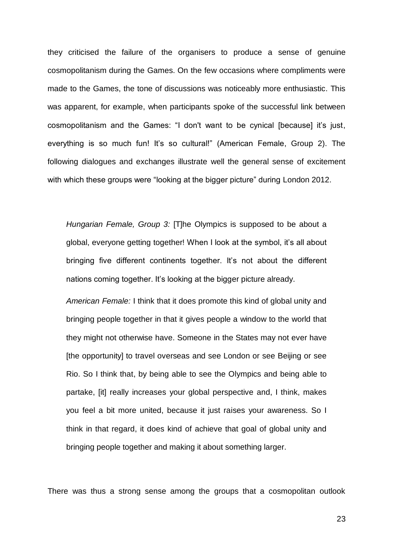they criticised the failure of the organisers to produce a sense of genuine cosmopolitanism during the Games. On the few occasions where compliments were made to the Games, the tone of discussions was noticeably more enthusiastic. This was apparent, for example, when participants spoke of the successful link between cosmopolitanism and the Games: "I don't want to be cynical [because] it's just, everything is so much fun! It's so cultural!" (American Female, Group 2). The following dialogues and exchanges illustrate well the general sense of excitement with which these groups were "looking at the bigger picture" during London 2012.

*Hungarian Female, Group 3:* [T]he Olympics is supposed to be about a global, everyone getting together! When I look at the symbol, it's all about bringing five different continents together. It's not about the different nations coming together. It's looking at the bigger picture already.

*American Female:* I think that it does promote this kind of global unity and bringing people together in that it gives people a window to the world that they might not otherwise have. Someone in the States may not ever have [the opportunity] to travel overseas and see London or see Beijing or see Rio. So I think that, by being able to see the Olympics and being able to partake, [it] really increases your global perspective and, I think, makes you feel a bit more united, because it just raises your awareness. So I think in that regard, it does kind of achieve that goal of global unity and bringing people together and making it about something larger.

There was thus a strong sense among the groups that a cosmopolitan outlook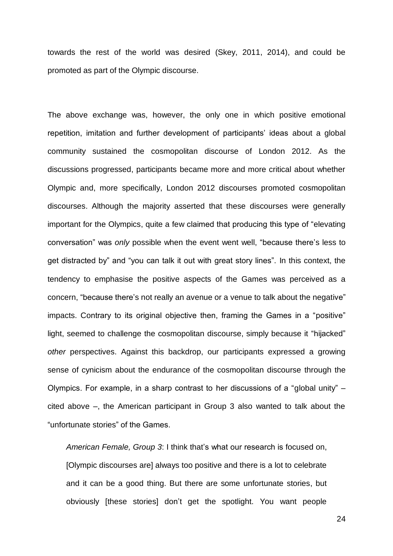towards the rest of the world was desired (Skey, 2011, 2014), and could be promoted as part of the Olympic discourse.

The above exchange was, however, the only one in which positive emotional repetition, imitation and further development of participants' ideas about a global community sustained the cosmopolitan discourse of London 2012. As the discussions progressed, participants became more and more critical about whether Olympic and, more specifically, London 2012 discourses promoted cosmopolitan discourses. Although the majority asserted that these discourses were generally important for the Olympics, quite a few claimed that producing this type of "elevating conversation" was *only* possible when the event went well, "because there's less to get distracted by" and "you can talk it out with great story lines". In this context, the tendency to emphasise the positive aspects of the Games was perceived as a concern, "because there's not really an avenue or a venue to talk about the negative" impacts. Contrary to its original objective then, framing the Games in a "positive" light, seemed to challenge the cosmopolitan discourse, simply because it "hijacked" *other* perspectives. Against this backdrop, our participants expressed a growing sense of cynicism about the endurance of the cosmopolitan discourse through the Olympics. For example, in a sharp contrast to her discussions of a "global unity" – cited above –, the American participant in Group 3 also wanted to talk about the "unfortunate stories" of the Games.

*American Female, Group 3*: I think that's what our research is focused on, [Olympic discourses are] always too positive and there is a lot to celebrate and it can be a good thing. But there are some unfortunate stories, but obviously [these stories] don't get the spotlight. You want people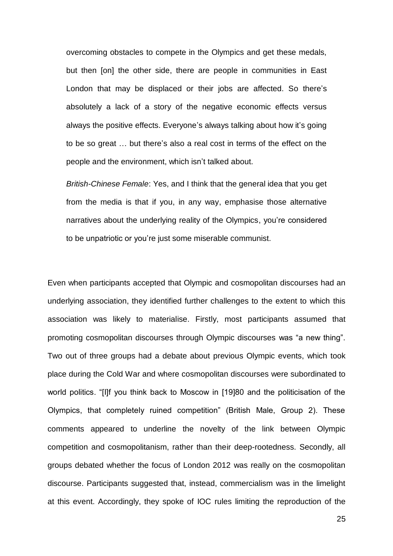overcoming obstacles to compete in the Olympics and get these medals, but then [on] the other side, there are people in communities in East London that may be displaced or their jobs are affected. So there's absolutely a lack of a story of the negative economic effects versus always the positive effects. Everyone's always talking about how it's going to be so great … but there's also a real cost in terms of the effect on the people and the environment, which isn't talked about.

*British-Chinese Female*: Yes, and I think that the general idea that you get from the media is that if you, in any way, emphasise those alternative narratives about the underlying reality of the Olympics, you're considered to be unpatriotic or you're just some miserable communist.

Even when participants accepted that Olympic and cosmopolitan discourses had an underlying association, they identified further challenges to the extent to which this association was likely to materialise. Firstly, most participants assumed that promoting cosmopolitan discourses through Olympic discourses was "a new thing". Two out of three groups had a debate about previous Olympic events, which took place during the Cold War and where cosmopolitan discourses were subordinated to world politics. "[I]f you think back to Moscow in [19]80 and the politicisation of the Olympics, that completely ruined competition" (British Male, Group 2). These comments appeared to underline the novelty of the link between Olympic competition and cosmopolitanism, rather than their deep-rootedness. Secondly, all groups debated whether the focus of London 2012 was really on the cosmopolitan discourse. Participants suggested that, instead, commercialism was in the limelight at this event. Accordingly, they spoke of IOC rules limiting the reproduction of the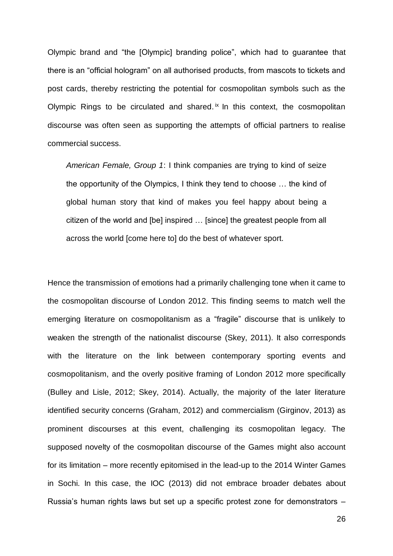Olympic brand and "the [Olympic] branding police", which had to guarantee that there is an "official hologram" on all authorised products, from mascots to tickets and post cards, thereby restricting the potential for cosmopolitan symbols such as the Olympic Rings to be circulated and shared. $i<sup>x</sup>$  In this context, the cosmopolitan discourse was often seen as supporting the attempts of official partners to realise commercial success.

*American Female, Group 1*: I think companies are trying to kind of seize the opportunity of the Olympics, I think they tend to choose … the kind of global human story that kind of makes you feel happy about being a citizen of the world and [be] inspired … [since] the greatest people from all across the world [come here to] do the best of whatever sport.

Hence the transmission of emotions had a primarily challenging tone when it came to the cosmopolitan discourse of London 2012. This finding seems to match well the emerging literature on cosmopolitanism as a "fragile" discourse that is unlikely to weaken the strength of the nationalist discourse (Skey, 2011). It also corresponds with the literature on the link between contemporary sporting events and cosmopolitanism, and the overly positive framing of London 2012 more specifically (Bulley and Lisle, 2012; Skey, 2014). Actually, the majority of the later literature identified security concerns (Graham, 2012) and commercialism (Girginov, 2013) as prominent discourses at this event, challenging its cosmopolitan legacy. The supposed novelty of the cosmopolitan discourse of the Games might also account for its limitation – more recently epitomised in the lead-up to the 2014 Winter Games in Sochi. In this case, the IOC (2013) did not embrace broader debates about Russia's human rights laws but set up a specific protest zone for demonstrators –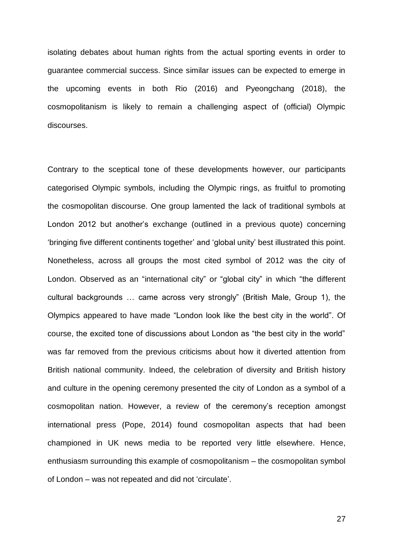isolating debates about human rights from the actual sporting events in order to guarantee commercial success. Since similar issues can be expected to emerge in the upcoming events in both Rio (2016) and Pyeongchang (2018), the cosmopolitanism is likely to remain a challenging aspect of (official) Olympic discourses.

Contrary to the sceptical tone of these developments however, our participants categorised Olympic symbols, including the Olympic rings, as fruitful to promoting the cosmopolitan discourse. One group lamented the lack of traditional symbols at London 2012 but another's exchange (outlined in a previous quote) concerning 'bringing five different continents together' and 'global unity' best illustrated this point. Nonetheless, across all groups the most cited symbol of 2012 was the city of London. Observed as an "international city" or "global city" in which "the different cultural backgrounds … came across very strongly" (British Male, Group 1), the Olympics appeared to have made "London look like the best city in the world". Of course, the excited tone of discussions about London as "the best city in the world" was far removed from the previous criticisms about how it diverted attention from British national community. Indeed, the celebration of diversity and British history and culture in the opening ceremony presented the city of London as a symbol of a cosmopolitan nation. However, a review of the ceremony's reception amongst international press (Pope, 2014) found cosmopolitan aspects that had been championed in UK news media to be reported very little elsewhere. Hence, enthusiasm surrounding this example of cosmopolitanism – the cosmopolitan symbol of London – was not repeated and did not 'circulate'.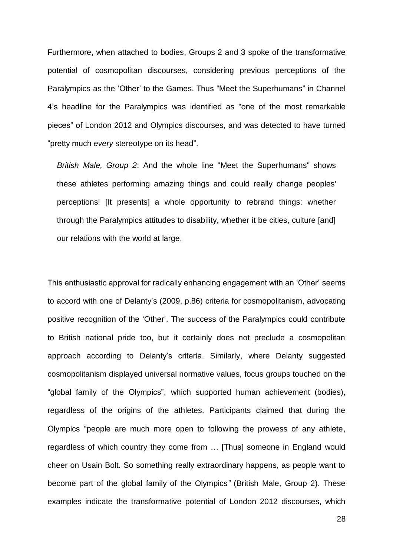Furthermore, when attached to bodies, Groups 2 and 3 spoke of the transformative potential of cosmopolitan discourses, considering previous perceptions of the Paralympics as the 'Other' to the Games. Thus "Meet the Superhumans" in Channel 4's headline for the Paralympics was identified as "one of the most remarkable pieces" of London 2012 and Olympics discourses, and was detected to have turned "pretty much *every* stereotype on its head".

*British Male, Group 2*: And the whole line "Meet the Superhumans" shows these athletes performing amazing things and could really change peoples' perceptions! [It presents] a whole opportunity to rebrand things: whether through the Paralympics attitudes to disability, whether it be cities, culture [and] our relations with the world at large.

This enthusiastic approval for radically enhancing engagement with an 'Other' seems to accord with one of Delanty's (2009, p.86) criteria for cosmopolitanism, advocating positive recognition of the 'Other'. The success of the Paralympics could contribute to British national pride too, but it certainly does not preclude a cosmopolitan approach according to Delanty's criteria. Similarly, where Delanty suggested cosmopolitanism displayed universal normative values, focus groups touched on the "global family of the Olympics", which supported human achievement (bodies), regardless of the origins of the athletes. Participants claimed that during the Olympics "people are much more open to following the prowess of any athlete, regardless of which country they come from … [Thus] someone in England would cheer on Usain Bolt. So something really extraordinary happens, as people want to become part of the global family of the Olympics*"* (British Male, Group 2). These examples indicate the transformative potential of London 2012 discourses, which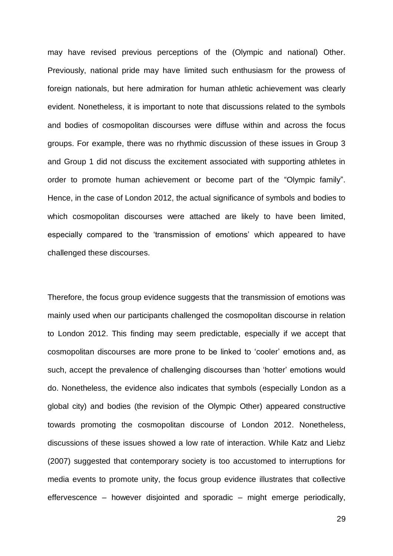may have revised previous perceptions of the (Olympic and national) Other. Previously, national pride may have limited such enthusiasm for the prowess of foreign nationals, but here admiration for human athletic achievement was clearly evident. Nonetheless, it is important to note that discussions related to the symbols and bodies of cosmopolitan discourses were diffuse within and across the focus groups. For example, there was no rhythmic discussion of these issues in Group 3 and Group 1 did not discuss the excitement associated with supporting athletes in order to promote human achievement or become part of the "Olympic family". Hence, in the case of London 2012, the actual significance of symbols and bodies to which cosmopolitan discourses were attached are likely to have been limited, especially compared to the 'transmission of emotions' which appeared to have challenged these discourses.

Therefore, the focus group evidence suggests that the transmission of emotions was mainly used when our participants challenged the cosmopolitan discourse in relation to London 2012. This finding may seem predictable, especially if we accept that cosmopolitan discourses are more prone to be linked to 'cooler' emotions and, as such, accept the prevalence of challenging discourses than 'hotter' emotions would do. Nonetheless, the evidence also indicates that symbols (especially London as a global city) and bodies (the revision of the Olympic Other) appeared constructive towards promoting the cosmopolitan discourse of London 2012. Nonetheless, discussions of these issues showed a low rate of interaction. While Katz and Liebz (2007) suggested that contemporary society is too accustomed to interruptions for media events to promote unity, the focus group evidence illustrates that collective effervescence – however disjointed and sporadic – might emerge periodically,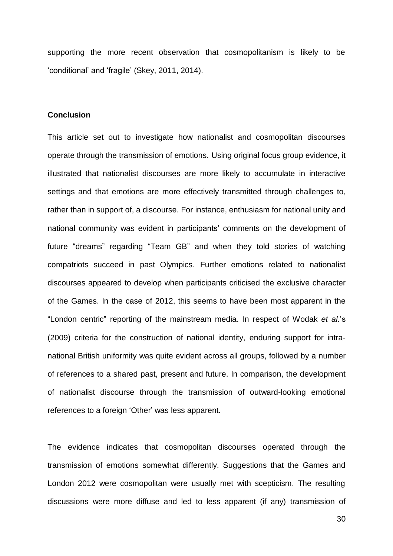supporting the more recent observation that cosmopolitanism is likely to be 'conditional' and 'fragile' (Skey, 2011, 2014).

#### **Conclusion**

This article set out to investigate how nationalist and cosmopolitan discourses operate through the transmission of emotions. Using original focus group evidence, it illustrated that nationalist discourses are more likely to accumulate in interactive settings and that emotions are more effectively transmitted through challenges to, rather than in support of, a discourse. For instance, enthusiasm for national unity and national community was evident in participants' comments on the development of future "dreams" regarding "Team GB" and when they told stories of watching compatriots succeed in past Olympics. Further emotions related to nationalist discourses appeared to develop when participants criticised the exclusive character of the Games. In the case of 2012, this seems to have been most apparent in the "London centric" reporting of the mainstream media. In respect of Wodak *et al.*'s (2009) criteria for the construction of national identity, enduring support for intranational British uniformity was quite evident across all groups, followed by a number of references to a shared past, present and future. In comparison, the development of nationalist discourse through the transmission of outward-looking emotional references to a foreign 'Other' was less apparent.

The evidence indicates that cosmopolitan discourses operated through the transmission of emotions somewhat differently. Suggestions that the Games and London 2012 were cosmopolitan were usually met with scepticism. The resulting discussions were more diffuse and led to less apparent (if any) transmission of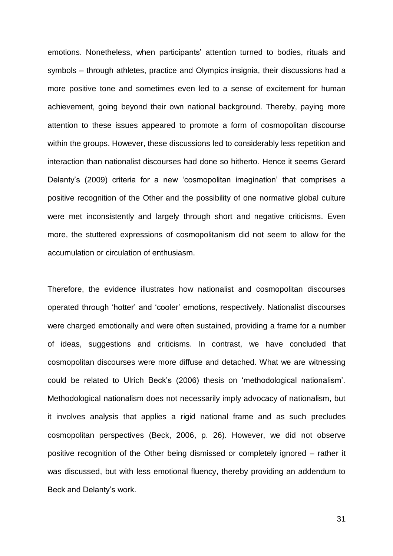emotions. Nonetheless, when participants' attention turned to bodies, rituals and symbols – through athletes, practice and Olympics insignia, their discussions had a more positive tone and sometimes even led to a sense of excitement for human achievement, going beyond their own national background. Thereby, paying more attention to these issues appeared to promote a form of cosmopolitan discourse within the groups. However, these discussions led to considerably less repetition and interaction than nationalist discourses had done so hitherto. Hence it seems Gerard Delanty's (2009) criteria for a new 'cosmopolitan imagination' that comprises a positive recognition of the Other and the possibility of one normative global culture were met inconsistently and largely through short and negative criticisms. Even more, the stuttered expressions of cosmopolitanism did not seem to allow for the accumulation or circulation of enthusiasm.

Therefore, the evidence illustrates how nationalist and cosmopolitan discourses operated through 'hotter' and 'cooler' emotions, respectively. Nationalist discourses were charged emotionally and were often sustained, providing a frame for a number of ideas, suggestions and criticisms. In contrast, we have concluded that cosmopolitan discourses were more diffuse and detached. What we are witnessing could be related to Ulrich Beck's (2006) thesis on 'methodological nationalism'. Methodological nationalism does not necessarily imply advocacy of nationalism, but it involves analysis that applies a rigid national frame and as such precludes cosmopolitan perspectives (Beck, 2006, p. 26). However, we did not observe positive recognition of the Other being dismissed or completely ignored – rather it was discussed, but with less emotional fluency, thereby providing an addendum to Beck and Delanty's work.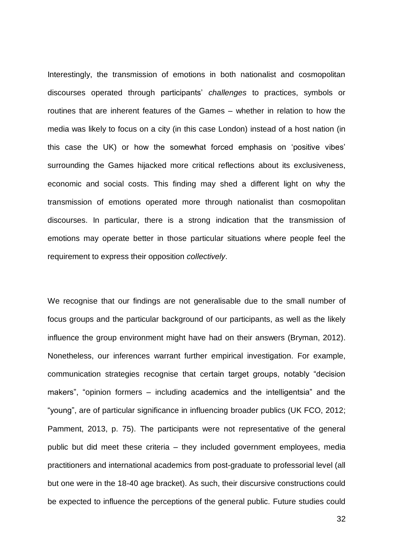Interestingly, the transmission of emotions in both nationalist and cosmopolitan discourses operated through participants' *challenges* to practices, symbols or routines that are inherent features of the Games – whether in relation to how the media was likely to focus on a city (in this case London) instead of a host nation (in this case the UK) or how the somewhat forced emphasis on 'positive vibes' surrounding the Games hijacked more critical reflections about its exclusiveness, economic and social costs. This finding may shed a different light on why the transmission of emotions operated more through nationalist than cosmopolitan discourses. In particular, there is a strong indication that the transmission of emotions may operate better in those particular situations where people feel the requirement to express their opposition *collectively*.

We recognise that our findings are not generalisable due to the small number of focus groups and the particular background of our participants, as well as the likely influence the group environment might have had on their answers (Bryman, 2012). Nonetheless, our inferences warrant further empirical investigation. For example, communication strategies recognise that certain target groups, notably "decision makers", "opinion formers – including academics and the intelligentsia" and the "young", are of particular significance in influencing broader publics (UK FCO, 2012; Pamment, 2013, p. 75). The participants were not representative of the general public but did meet these criteria – they included government employees, media practitioners and international academics from post-graduate to professorial level (all but one were in the 18-40 age bracket). As such, their discursive constructions could be expected to influence the perceptions of the general public. Future studies could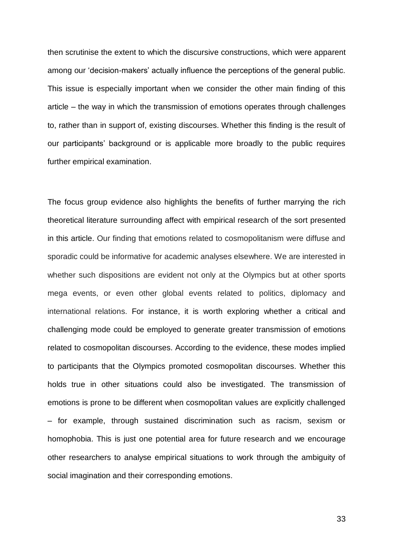then scrutinise the extent to which the discursive constructions, which were apparent among our 'decision-makers' actually influence the perceptions of the general public. This issue is especially important when we consider the other main finding of this article – the way in which the transmission of emotions operates through challenges to, rather than in support of, existing discourses. Whether this finding is the result of our participants' background or is applicable more broadly to the public requires further empirical examination.

The focus group evidence also highlights the benefits of further marrying the rich theoretical literature surrounding affect with empirical research of the sort presented in this article. Our finding that emotions related to cosmopolitanism were diffuse and sporadic could be informative for academic analyses elsewhere. We are interested in whether such dispositions are evident not only at the Olympics but at other sports mega events, or even other global events related to politics, diplomacy and international relations. For instance, it is worth exploring whether a critical and challenging mode could be employed to generate greater transmission of emotions related to cosmopolitan discourses. According to the evidence, these modes implied to participants that the Olympics promoted cosmopolitan discourses. Whether this holds true in other situations could also be investigated. The transmission of emotions is prone to be different when cosmopolitan values are explicitly challenged – for example, through sustained discrimination such as racism, sexism or homophobia. This is just one potential area for future research and we encourage other researchers to analyse empirical situations to work through the ambiguity of social imagination and their corresponding emotions.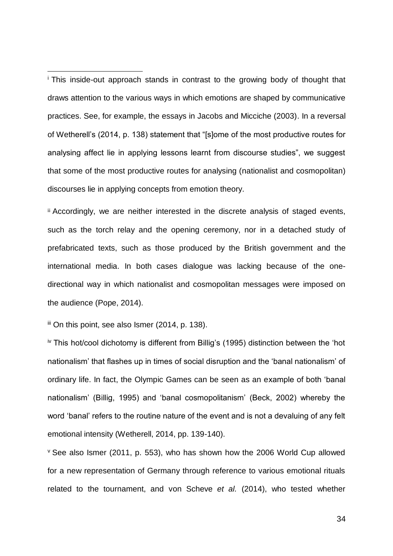<sup>i</sup> This inside-out approach stands in contrast to the growing body of thought that draws attention to the various ways in which emotions are shaped by communicative practices. See, for example, the essays in Jacobs and Micciche (2003). In a reversal of Wetherell's (2014, p. 138) statement that "[s]ome of the most productive routes for analysing affect lie in applying lessons learnt from discourse studies", we suggest that some of the most productive routes for analysing (nationalist and cosmopolitan) discourses lie in applying concepts from emotion theory.

ii Accordingly, we are neither interested in the discrete analysis of staged events, such as the torch relay and the opening ceremony, nor in a detached study of prefabricated texts, such as those produced by the British government and the international media. In both cases dialogue was lacking because of the onedirectional way in which nationalist and cosmopolitan messages were imposed on the audience (Pope, 2014).

iii On this point, see also Ismer (2014, p. 138).

 $\overline{a}$ 

iv This hot/cool dichotomy is different from Billig's (1995) distinction between the 'hot nationalism' that flashes up in times of social disruption and the 'banal nationalism' of ordinary life. In fact, the Olympic Games can be seen as an example of both 'banal nationalism' (Billig, 1995) and 'banal cosmopolitanism' (Beck, 2002) whereby the word 'banal' refers to the routine nature of the event and is not a devaluing of any felt emotional intensity (Wetherell, 2014, pp. 139-140).

<sup>v</sup> See also Ismer (2011, p. 553), who has shown how the 2006 World Cup allowed for a new representation of Germany through reference to various emotional rituals related to the tournament, and von Scheve *et al.* (2014), who tested whether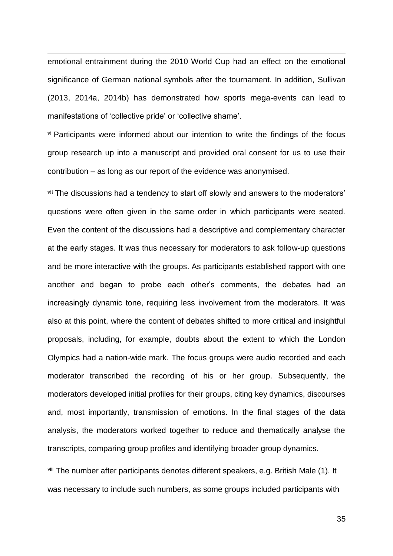emotional entrainment during the 2010 World Cup had an effect on the emotional significance of German national symbols after the tournament. In addition, Sullivan (2013, 2014a, 2014b) has demonstrated how sports mega-events can lead to manifestations of 'collective pride' or 'collective shame'.

 $\overline{a}$ 

vi Participants were informed about our intention to write the findings of the focus group research up into a manuscript and provided oral consent for us to use their contribution – as long as our report of the evidence was anonymised.

vii The discussions had a tendency to start off slowly and answers to the moderators' questions were often given in the same order in which participants were seated. Even the content of the discussions had a descriptive and complementary character at the early stages. It was thus necessary for moderators to ask follow-up questions and be more interactive with the groups. As participants established rapport with one another and began to probe each other's comments, the debates had an increasingly dynamic tone, requiring less involvement from the moderators. It was also at this point, where the content of debates shifted to more critical and insightful proposals, including, for example, doubts about the extent to which the London Olympics had a nation-wide mark. The focus groups were audio recorded and each moderator transcribed the recording of his or her group. Subsequently, the moderators developed initial profiles for their groups, citing key dynamics, discourses and, most importantly, transmission of emotions. In the final stages of the data analysis, the moderators worked together to reduce and thematically analyse the transcripts, comparing group profiles and identifying broader group dynamics.

viii The number after participants denotes different speakers, e.g. British Male (1). It was necessary to include such numbers, as some groups included participants with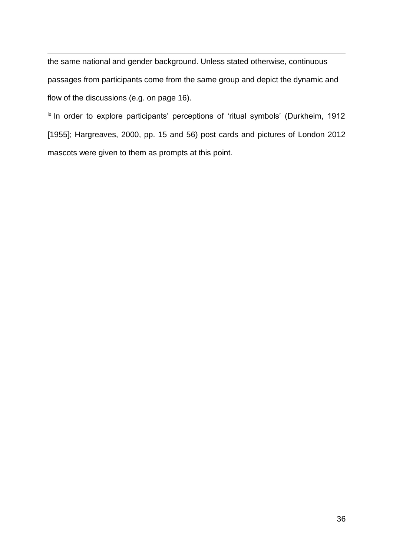$\overline{a}$ the same national and gender background. Unless stated otherwise, continuous passages from participants come from the same group and depict the dynamic and flow of the discussions (e.g. on page 16).

ix In order to explore participants' perceptions of 'ritual symbols' (Durkheim, 1912 [1955]; Hargreaves, 2000, pp. 15 and 56) post cards and pictures of London 2012 mascots were given to them as prompts at this point.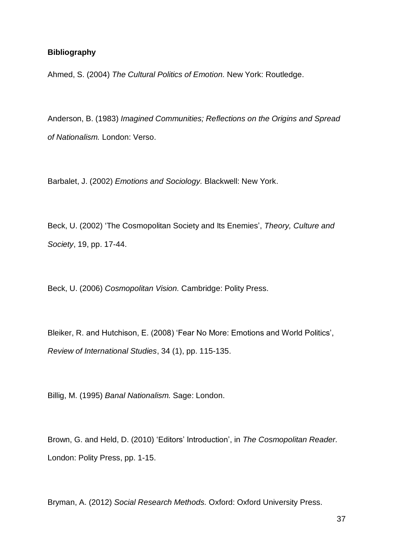## **Bibliography**

Ahmed, S. (2004) *The Cultural Politics of Emotion.* New York: Routledge.

Anderson, B. (1983) *Imagined Communities; Reflections on the Origins and Spread of Nationalism.* London: Verso.

Barbalet, J. (2002) *Emotions and Sociology.* Blackwell: New York.

Beck, U. (2002) 'The Cosmopolitan Society and Its Enemies', *Theory, Culture and Society*, 19, pp. 17-44.

Beck, U. (2006) *Cosmopolitan Vision.* Cambridge: Polity Press.

Bleiker, R. and Hutchison, E. (2008) 'Fear No More: Emotions and World Politics', *Review of International Studies*, 34 (1), pp. 115-135.

Billig, M. (1995) *Banal Nationalism.* Sage: London.

Brown, G. and Held, D. (2010) 'Editors' Introduction', in *The Cosmopolitan Reader.* London: Polity Press, pp. 1-15.

Bryman, A. (2012) *Social Research Methods.* Oxford: Oxford University Press.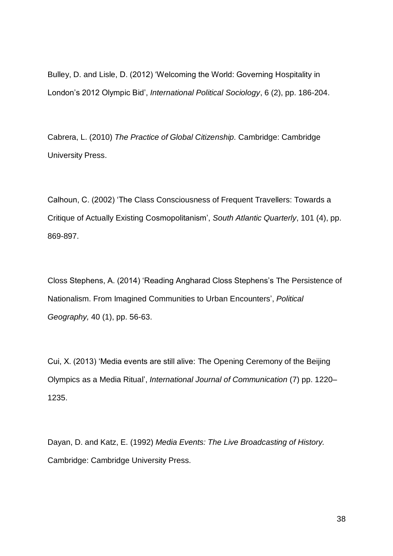Bulley, D. and Lisle, D. (2012) 'Welcoming the World: Governing Hospitality in London's 2012 Olympic Bid', *International Political Sociology*, 6 (2), pp. 186-204.

Cabrera, L. (2010) *The Practice of Global Citizenship.* Cambridge: Cambridge University Press.

Calhoun, C. (2002) 'The Class Consciousness of Frequent Travellers: Towards a Critique of Actually Existing Cosmopolitanism', *South Atlantic Quarterly*, 101 (4), pp. 869-897.

Closs Stephens, A. (2014) 'Reading Angharad Closs Stephens's The Persistence of Nationalism. From Imagined Communities to Urban Encounters', *Political Geography,* 40 (1), pp. 56-63.

Cui, X. (2013) 'Media events are still alive: The Opening Ceremony of the Beijing Olympics as a Media Ritual', *International Journal of Communication* (7) pp. 1220– 1235.

Dayan, D. and Katz, E. (1992) *Media Events: The Live Broadcasting of History.*  Cambridge: Cambridge University Press.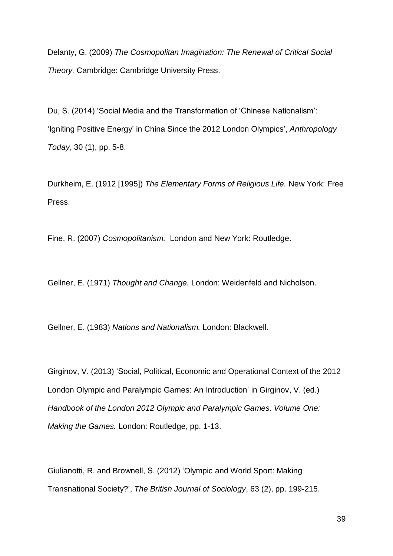Delanty, G. (2009) *The Cosmopolitan Imagination: The Renewal of Critical Social Theory.* Cambridge: Cambridge University Press.

Du, S. (2014) 'Social Media and the Transformation of 'Chinese Nationalism': 'Igniting Positive Energy' in China Since the 2012 London Olympics', *Anthropology Today*, 30 (1), pp. 5-8.

Durkheim, E. (1912 [1995]) *The Elementary Forms of Religious Life.* New York: Free Press.

Fine, R. (2007) *Cosmopolitanism.* London and New York: Routledge.

Gellner, E. (1971) *Thought and Change.* London: Weidenfeld and Nicholson.

Gellner, E. (1983) *Nations and Nationalism.* London: Blackwell.

Girginov, V. (2013) 'Social, Political, Economic and Operational Context of the 2012 London Olympic and Paralympic Games: An Introduction' in Girginov, V. (ed.) *Handbook of the London 2012 Olympic and Paralympic Games: Volume One: Making the Games.* London: Routledge, pp. 1-13.

Giulianotti, R. and Brownell, S. (2012) 'Olympic and World Sport: Making Transnational Society?', *The British Journal of Sociology*, 63 (2), pp. 199-215.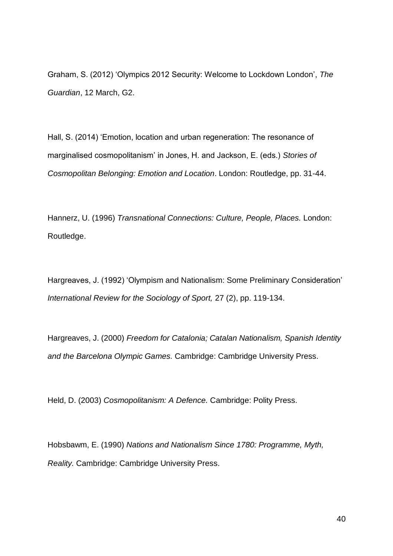Graham, S. (2012) 'Olympics 2012 Security: Welcome to Lockdown London', *The Guardian*, 12 March, G2.

Hall, S. (2014) 'Emotion, location and urban regeneration: The resonance of marginalised cosmopolitanism' in Jones, H. and Jackson, E. (eds.) *Stories of Cosmopolitan Belonging: Emotion and Location*. London: Routledge, pp. 31-44.

Hannerz, U. (1996) *Transnational Connections: Culture, People, Places.* London: Routledge.

Hargreaves, J. (1992) 'Olympism and Nationalism: Some Preliminary Consideration' *International Review for the Sociology of Sport,* 27 (2), pp. 119-134.

Hargreaves, J. (2000) *Freedom for Catalonia; Catalan Nationalism, Spanish Identity and the Barcelona Olympic Games.* Cambridge: Cambridge University Press.

Held, D. (2003) *Cosmopolitanism: A Defence.* Cambridge: Polity Press.

Hobsbawm, E. (1990) *Nations and Nationalism Since 1780: Programme, Myth, Reality.* Cambridge: Cambridge University Press.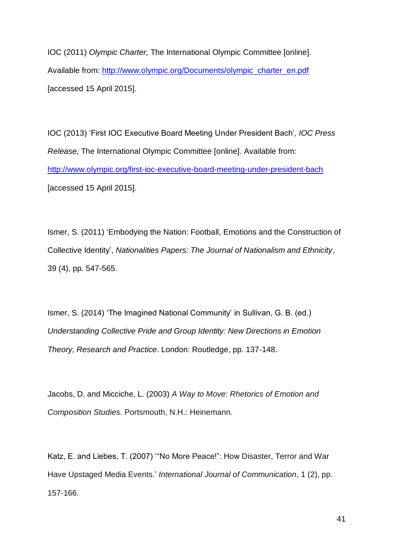IOC (2011) *Olympic Charter,* The International Olympic Committee [online]. Available from: [http://www.olympic.org/Documents/olympic\\_charter\\_en.pdf](http://www.olympic.org/Documents/olympic_charter_en.pdf) [accessed 15 April 2015].

IOC (2013) 'First IOC Executive Board Meeting Under President Bach', *IOC Press Release,* The International Olympic Committee [online]. Available from: <http://www.olympic.org/first-ioc-executive-board-meeting-under-president-bach> [accessed 15 April 2015].

Ismer, S. (2011) 'Embodying the Nation: Football, Emotions and the Construction of Collective Identity', *Nationalities Papers: The Journal of Nationalism and Ethnicity*, 39 (4), pp. 547-565.

Ismer, S. (2014) 'The Imagined National Community' in Sullivan, G. B. (ed.) *Understanding Collective Pride and Group Identity: New Directions in Emotion Theory, Research and Practice*. London: Routledge, pp. 137-148.

Jacobs, D. and Micciche, L. (2003) *A Way to Move: Rhetorics of Emotion and Composition Studies.* Portsmouth, N.H.: Heinemann.

Katz, E. and Liebes, T. (2007) '"No More Peace!": How Disaster, Terror and War Have Upstaged Media Events.' *International Journal of Communication*, 1 (2), pp. 157-166.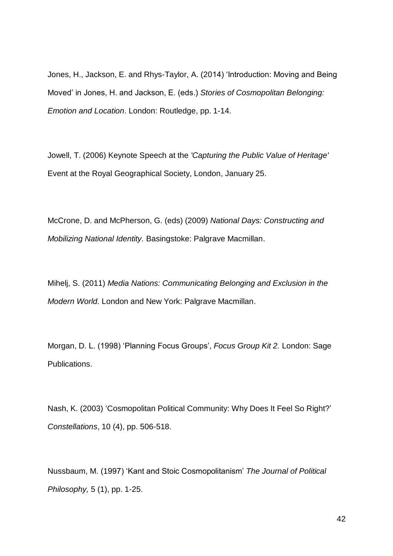Jones, H., Jackson, E. and Rhys-Taylor, A. (2014) 'Introduction: Moving and Being Moved' in Jones, H. and Jackson, E. (eds.) *Stories of Cosmopolitan Belonging: Emotion and Location*. London: Routledge, pp. 1-14.

Jowell, T. (2006) Keynote Speech at the *'Capturing the Public Value of Heritage'* Event at the Royal Geographical Society, London, January 25.

McCrone, D. and McPherson, G. (eds) (2009) *National Days: Constructing and Mobilizing National Identity.* Basingstoke: Palgrave Macmillan.

Mihelj, S. (2011) *Media Nations: Communicating Belonging and Exclusion in the Modern World.* London and New York: Palgrave Macmillan.

Morgan, D. L. (1998) 'Planning Focus Groups', *Focus Group Kit 2.* London: Sage Publications.

Nash, K. (2003) 'Cosmopolitan Political Community: Why Does It Feel So Right?' *Constellations*, 10 (4), pp. 506-518.

Nussbaum, M. (1997) 'Kant and Stoic Cosmopolitanism' *The Journal of Political Philosophy,* 5 (1), pp. 1-25.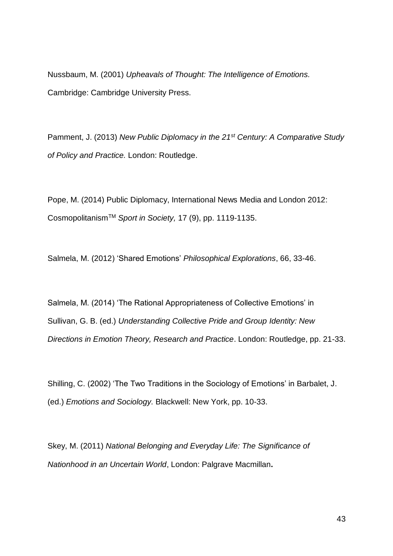Nussbaum, M. (2001) *Upheavals of Thought: The Intelligence of Emotions.* Cambridge: Cambridge University Press.

Pamment, J. (2013) *New Public Diplomacy in the 21st Century: A Comparative Study of Policy and Practice.* London: Routledge.

Pope, M. (2014) Public Diplomacy, International News Media and London 2012: CosmopolitanismTM *Sport in Society,* 17 (9), pp. 1119-1135.

Salmela, M. (2012) 'Shared Emotions' *Philosophical Explorations*, 66, 33-46.

Salmela, M. (2014) 'The Rational Appropriateness of Collective Emotions' in Sullivan, G. B. (ed.) *Understanding Collective Pride and Group Identity: New Directions in Emotion Theory, Research and Practice*. London: Routledge, pp. 21-33.

Shilling, C. (2002) 'The Two Traditions in the Sociology of Emotions' in Barbalet, J. (ed.) *Emotions and Sociology.* Blackwell: New York, pp. 10-33.

Skey, M. (2011) *National Belonging and Everyday Life: The Significance of Nationhood in an Uncertain World*, London: Palgrave Macmillan**.**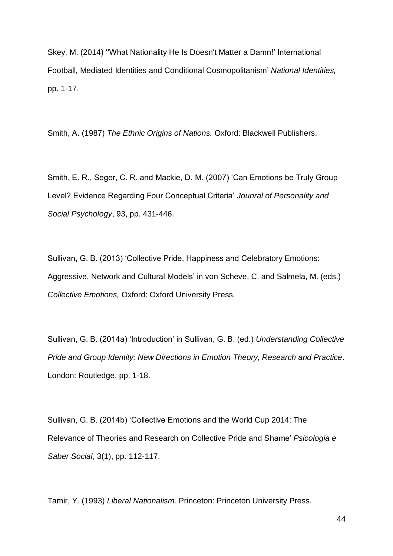Skey, M. (2014) ''What Nationality He Is Doesn't Matter a Damn!' International Football, Mediated Identities and Conditional Cosmopolitanism' *National Identities,*  pp. 1-17.

Smith, A. (1987) *The Ethnic Origins of Nations.* Oxford: Blackwell Publishers.

Smith, E. R., Seger, C. R. and Mackie, D. M. (2007) 'Can Emotions be Truly Group Level? Evidence Regarding Four Conceptual Criteria' *Jounral of Personality and Social Psychology*, 93, pp. 431-446.

Sullivan, G. B. (2013) 'Collective Pride, Happiness and Celebratory Emotions: Aggressive, Network and Cultural Models' in von Scheve, C. and Salmela, M. (eds.) *Collective Emotions,* Oxford: Oxford University Press.

Sullivan, G. B. (2014a) 'Introduction' in Sullivan, G. B. (ed.) *Understanding Collective Pride and Group Identity: New Directions in Emotion Theory, Research and Practice*. London: Routledge, pp. 1-18.

Sullivan, G. B. (2014b) 'Collective Emotions and the World Cup 2014: The Relevance of Theories and Research on Collective Pride and Shame' *Psicologia e Saber Social*, 3(1), pp. 112-117.

Tamir, Y. (1993) *Liberal Nationalism.* Princeton: Princeton University Press.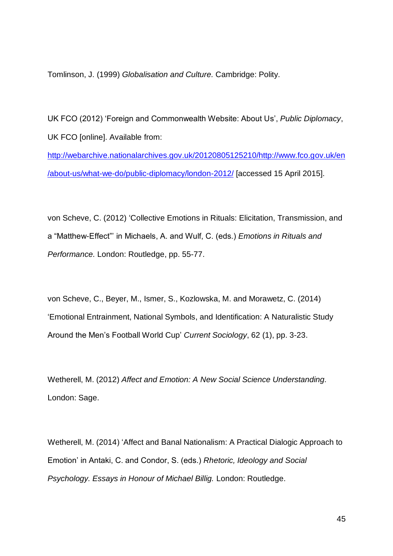Tomlinson, J. (1999) *Globalisation and Culture.* Cambridge: Polity.

UK FCO (2012) 'Foreign and Commonwealth Website: About Us', *Public Diplomacy*, UK FCO [online]. Available from:

[http://webarchive.nationalarchives.gov.uk/20120805125210/http://www.fco.gov.uk/en](http://webarchive.nationalarchives.gov.uk/20120805125210/http:/www.fco.gov.uk/en/about-us/what-we-do/public-diplomacy/london-2012/) [/about-us/what-we-do/public-diplomacy/london-2012/](http://webarchive.nationalarchives.gov.uk/20120805125210/http:/www.fco.gov.uk/en/about-us/what-we-do/public-diplomacy/london-2012/) [accessed 15 April 2015].

von Scheve, C. (2012) 'Collective Emotions in Rituals: Elicitation, Transmission, and a "Matthew-Effect"' in Michaels, A. and Wulf, C. (eds.) *Emotions in Rituals and Performance.* London: Routledge, pp. 55-77.

von Scheve, C., Beyer, M., Ismer, S., Kozlowska, M. and Morawetz, C. (2014) 'Emotional Entrainment, National Symbols, and Identification: A Naturalistic Study Around the Men's Football World Cup' *Current Sociology*, 62 (1), pp. 3-23.

Wetherell, M. (2012) *Affect and Emotion: A New Social Science Understanding.* London: Sage.

Wetherell, M. (2014) 'Affect and Banal Nationalism: A Practical Dialogic Approach to Emotion' in Antaki, C. and Condor, S. (eds.) *Rhetoric, Ideology and Social Psychology. Essays in Honour of Michael Billig.* London: Routledge.